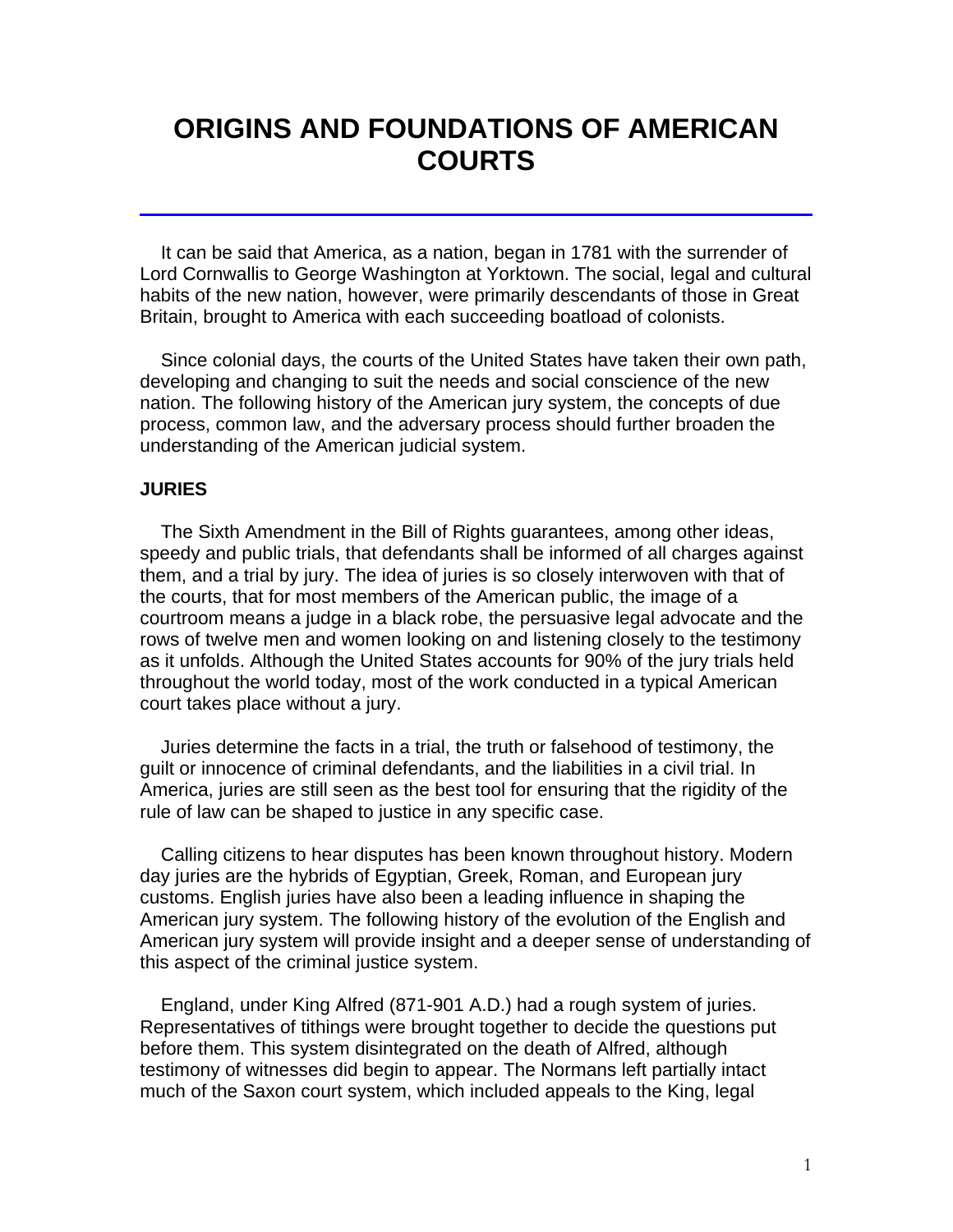## **ORIGINS AND FOUNDATIONS OF AMERICAN COURTS**

 It can be said that America, as a nation, began in 1781 with the surrender of Lord Cornwallis to George Washington at Yorktown. The social, legal and cultural habits of the new nation, however, were primarily descendants of those in Great Britain, brought to America with each succeeding boatload of colonists.

 Since colonial days, the courts of the United States have taken their own path, developing and changing to suit the needs and social conscience of the new nation. The following history of the American jury system, the concepts of due process, common law, and the adversary process should further broaden the understanding of the American judicial system.

#### **JURIES**

 The Sixth Amendment in the Bill of Rights guarantees, among other ideas, speedy and public trials, that defendants shall be informed of all charges against them, and a trial by jury. The idea of juries is so closely interwoven with that of the courts, that for most members of the American public, the image of a courtroom means a judge in a black robe, the persuasive legal advocate and the rows of twelve men and women looking on and listening closely to the testimony as it unfolds. Although the United States accounts for 90% of the jury trials held throughout the world today, most of the work conducted in a typical American court takes place without a jury.

 Juries determine the facts in a trial, the truth or falsehood of testimony, the guilt or innocence of criminal defendants, and the liabilities in a civil trial. In America, juries are still seen as the best tool for ensuring that the rigidity of the rule of law can be shaped to justice in any specific case.

 Calling citizens to hear disputes has been known throughout history. Modern day juries are the hybrids of Egyptian, Greek, Roman, and European jury customs. English juries have also been a leading influence in shaping the American jury system. The following history of the evolution of the English and American jury system will provide insight and a deeper sense of understanding of this aspect of the criminal justice system.

 England, under King Alfred (871-901 A.D.) had a rough system of juries. Representatives of tithings were brought together to decide the questions put before them. This system disintegrated on the death of Alfred, although testimony of witnesses did begin to appear. The Normans left partially intact much of the Saxon court system, which included appeals to the King, legal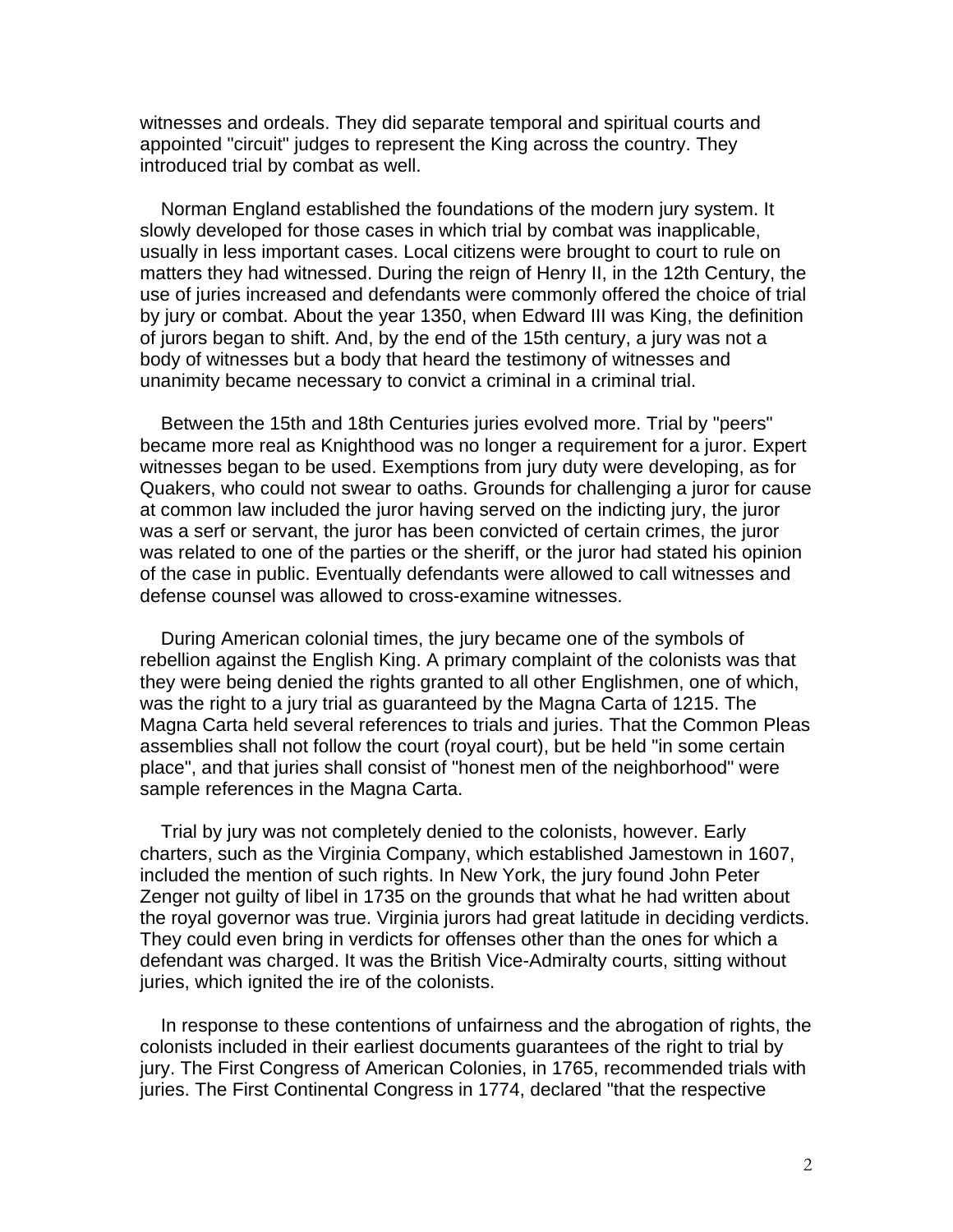witnesses and ordeals. They did separate temporal and spiritual courts and appointed "circuit" judges to represent the King across the country. They introduced trial by combat as well.

 Norman England established the foundations of the modern jury system. It slowly developed for those cases in which trial by combat was inapplicable, usually in less important cases. Local citizens were brought to court to rule on matters they had witnessed. During the reign of Henry II, in the 12th Century, the use of juries increased and defendants were commonly offered the choice of trial by jury or combat. About the year 1350, when Edward III was King, the definition of jurors began to shift. And, by the end of the 15th century, a jury was not a body of witnesses but a body that heard the testimony of witnesses and unanimity became necessary to convict a criminal in a criminal trial.

 Between the 15th and 18th Centuries juries evolved more. Trial by "peers" became more real as Knighthood was no longer a requirement for a juror. Expert witnesses began to be used. Exemptions from jury duty were developing, as for Quakers, who could not swear to oaths. Grounds for challenging a juror for cause at common law included the juror having served on the indicting jury, the juror was a serf or servant, the juror has been convicted of certain crimes, the juror was related to one of the parties or the sheriff, or the juror had stated his opinion of the case in public. Eventually defendants were allowed to call witnesses and defense counsel was allowed to cross-examine witnesses.

 During American colonial times, the jury became one of the symbols of rebellion against the English King. A primary complaint of the colonists was that they were being denied the rights granted to all other Englishmen, one of which, was the right to a jury trial as guaranteed by the Magna Carta of 1215. The Magna Carta held several references to trials and juries. That the Common Pleas assemblies shall not follow the court (royal court), but be held "in some certain place", and that juries shall consist of "honest men of the neighborhood" were sample references in the Magna Carta.

 Trial by jury was not completely denied to the colonists, however. Early charters, such as the Virginia Company, which established Jamestown in 1607, included the mention of such rights. In New York, the jury found John Peter Zenger not guilty of libel in 1735 on the grounds that what he had written about the royal governor was true. Virginia jurors had great latitude in deciding verdicts. They could even bring in verdicts for offenses other than the ones for which a defendant was charged. It was the British Vice-Admiralty courts, sitting without juries, which ignited the ire of the colonists.

 In response to these contentions of unfairness and the abrogation of rights, the colonists included in their earliest documents guarantees of the right to trial by jury. The First Congress of American Colonies, in 1765, recommended trials with juries. The First Continental Congress in 1774, declared "that the respective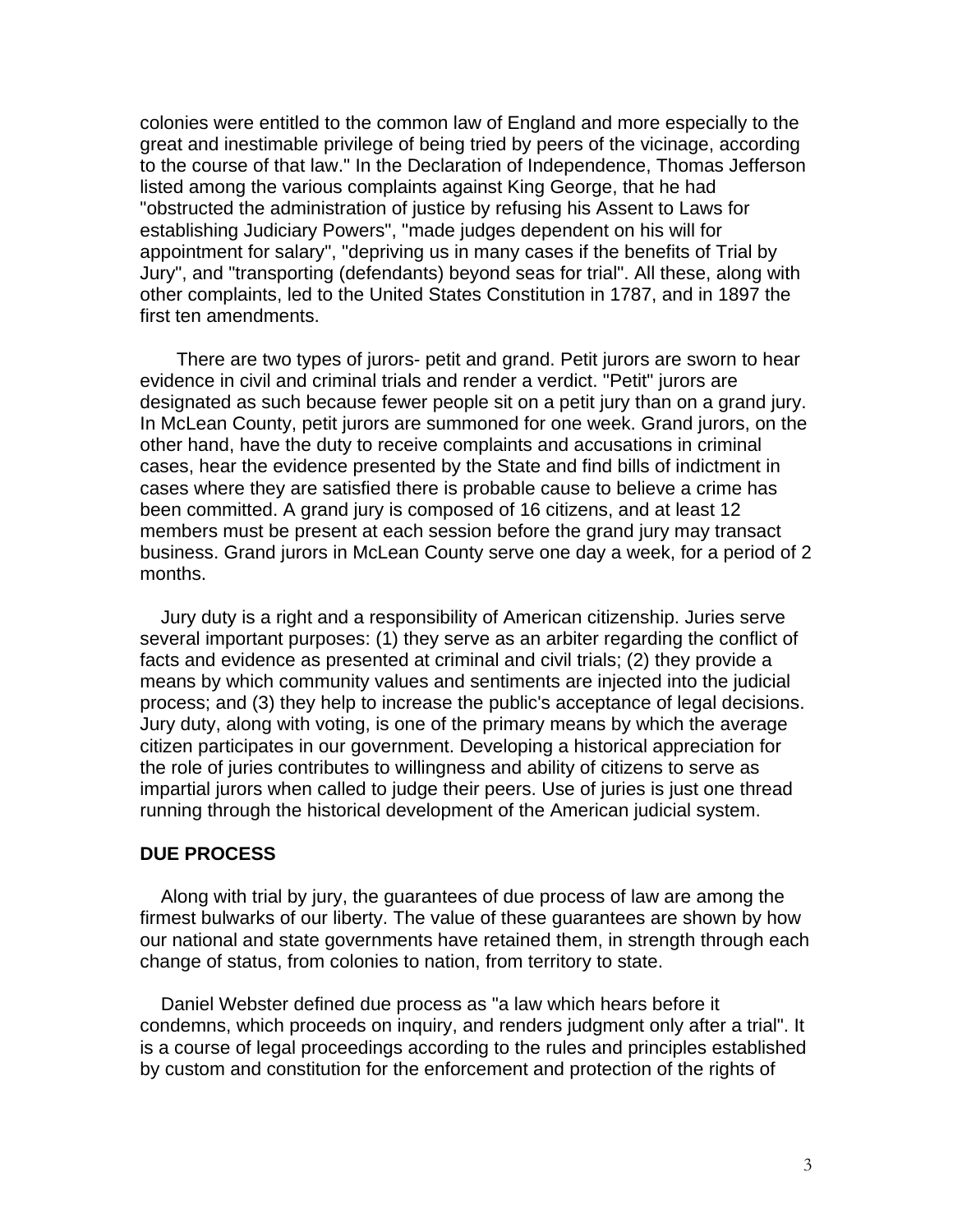colonies were entitled to the common law of England and more especially to the great and inestimable privilege of being tried by peers of the vicinage, according to the course of that law." In the Declaration of Independence, Thomas Jefferson listed among the various complaints against King George, that he had "obstructed the administration of justice by refusing his Assent to Laws for establishing Judiciary Powers", "made judges dependent on his will for appointment for salary", "depriving us in many cases if the benefits of Trial by Jury", and "transporting (defendants) beyond seas for trial". All these, along with other complaints, led to the United States Constitution in 1787, and in 1897 the first ten amendments.

 There are two types of jurors- petit and grand. Petit jurors are sworn to hear evidence in civil and criminal trials and render a verdict. "Petit" jurors are designated as such because fewer people sit on a petit jury than on a grand jury. In McLean County, petit jurors are summoned for one week. Grand jurors, on the other hand, have the duty to receive complaints and accusations in criminal cases, hear the evidence presented by the State and find bills of indictment in cases where they are satisfied there is probable cause to believe a crime has been committed. A grand jury is composed of 16 citizens, and at least 12 members must be present at each session before the grand jury may transact business. Grand jurors in McLean County serve one day a week, for a period of 2 months.

 Jury duty is a right and a responsibility of American citizenship. Juries serve several important purposes: (1) they serve as an arbiter regarding the conflict of facts and evidence as presented at criminal and civil trials; (2) they provide a means by which community values and sentiments are injected into the judicial process; and (3) they help to increase the public's acceptance of legal decisions. Jury duty, along with voting, is one of the primary means by which the average citizen participates in our government. Developing a historical appreciation for the role of juries contributes to willingness and ability of citizens to serve as impartial jurors when called to judge their peers. Use of juries is just one thread running through the historical development of the American judicial system.

#### **DUE PROCESS**

 Along with trial by jury, the guarantees of due process of law are among the firmest bulwarks of our liberty. The value of these guarantees are shown by how our national and state governments have retained them, in strength through each change of status, from colonies to nation, from territory to state.

 Daniel Webster defined due process as "a law which hears before it condemns, which proceeds on inquiry, and renders judgment only after a trial". It is a course of legal proceedings according to the rules and principles established by custom and constitution for the enforcement and protection of the rights of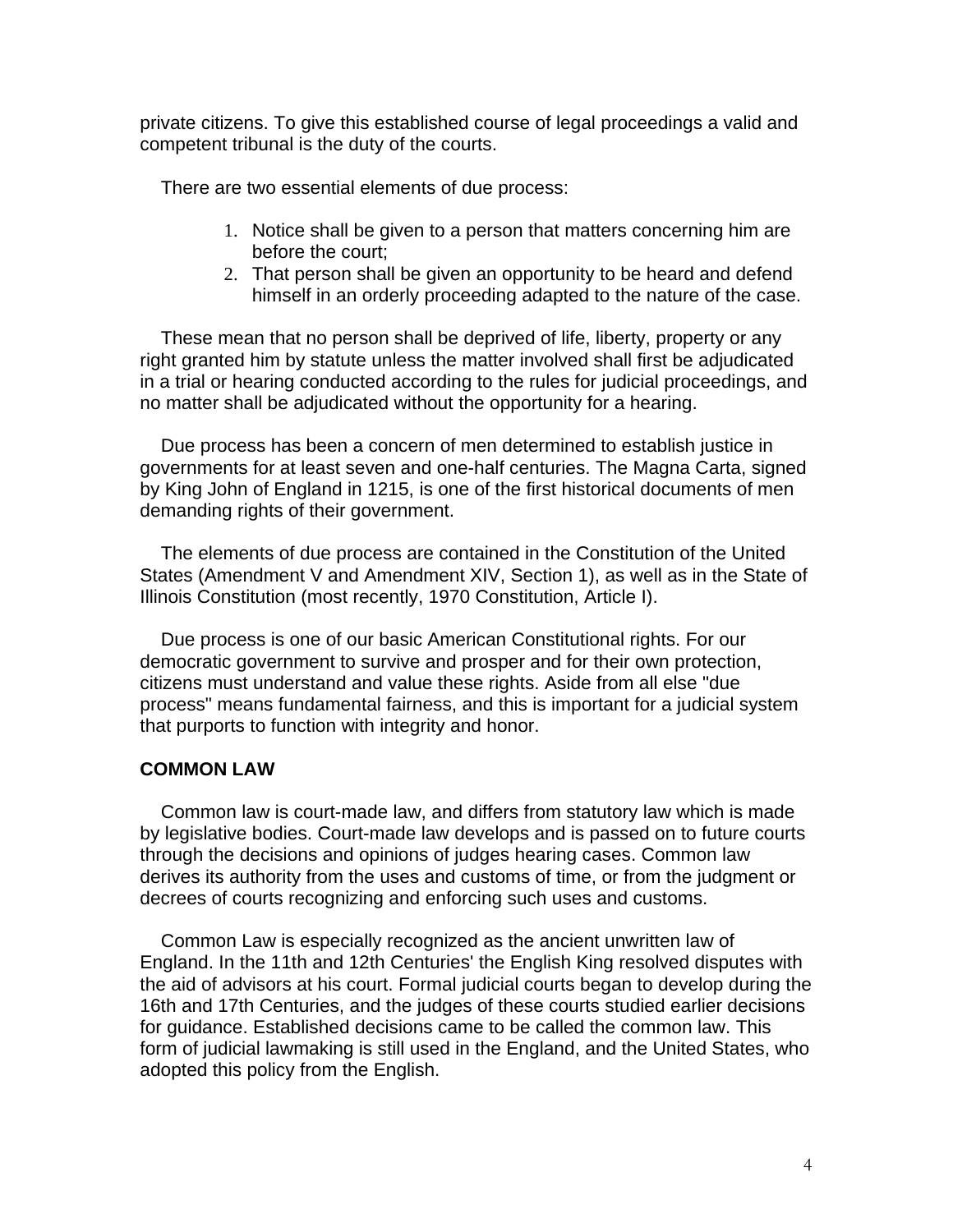private citizens. To give this established course of legal proceedings a valid and competent tribunal is the duty of the courts.

There are two essential elements of due process:

- 1. Notice shall be given to a person that matters concerning him are before the court;
- 2. That person shall be given an opportunity to be heard and defend himself in an orderly proceeding adapted to the nature of the case.

 These mean that no person shall be deprived of life, liberty, property or any right granted him by statute unless the matter involved shall first be adjudicated in a trial or hearing conducted according to the rules for judicial proceedings, and no matter shall be adjudicated without the opportunity for a hearing.

 Due process has been a concern of men determined to establish justice in governments for at least seven and one-half centuries. The Magna Carta, signed by King John of England in 1215, is one of the first historical documents of men demanding rights of their government.

 The elements of due process are contained in the Constitution of the United States (Amendment V and Amendment XIV, Section 1), as well as in the State of Illinois Constitution (most recently, 1970 Constitution, Article I).

 Due process is one of our basic American Constitutional rights. For our democratic government to survive and prosper and for their own protection, citizens must understand and value these rights. Aside from all else "due process" means fundamental fairness, and this is important for a judicial system that purports to function with integrity and honor.

## **COMMON LAW**

 Common law is court-made law, and differs from statutory law which is made by legislative bodies. Court-made law develops and is passed on to future courts through the decisions and opinions of judges hearing cases. Common law derives its authority from the uses and customs of time, or from the judgment or decrees of courts recognizing and enforcing such uses and customs.

 Common Law is especially recognized as the ancient unwritten law of England. In the 11th and 12th Centuries' the English King resolved disputes with the aid of advisors at his court. Formal judicial courts began to develop during the 16th and 17th Centuries, and the judges of these courts studied earlier decisions for guidance. Established decisions came to be called the common law. This form of judicial lawmaking is still used in the England, and the United States, who adopted this policy from the English.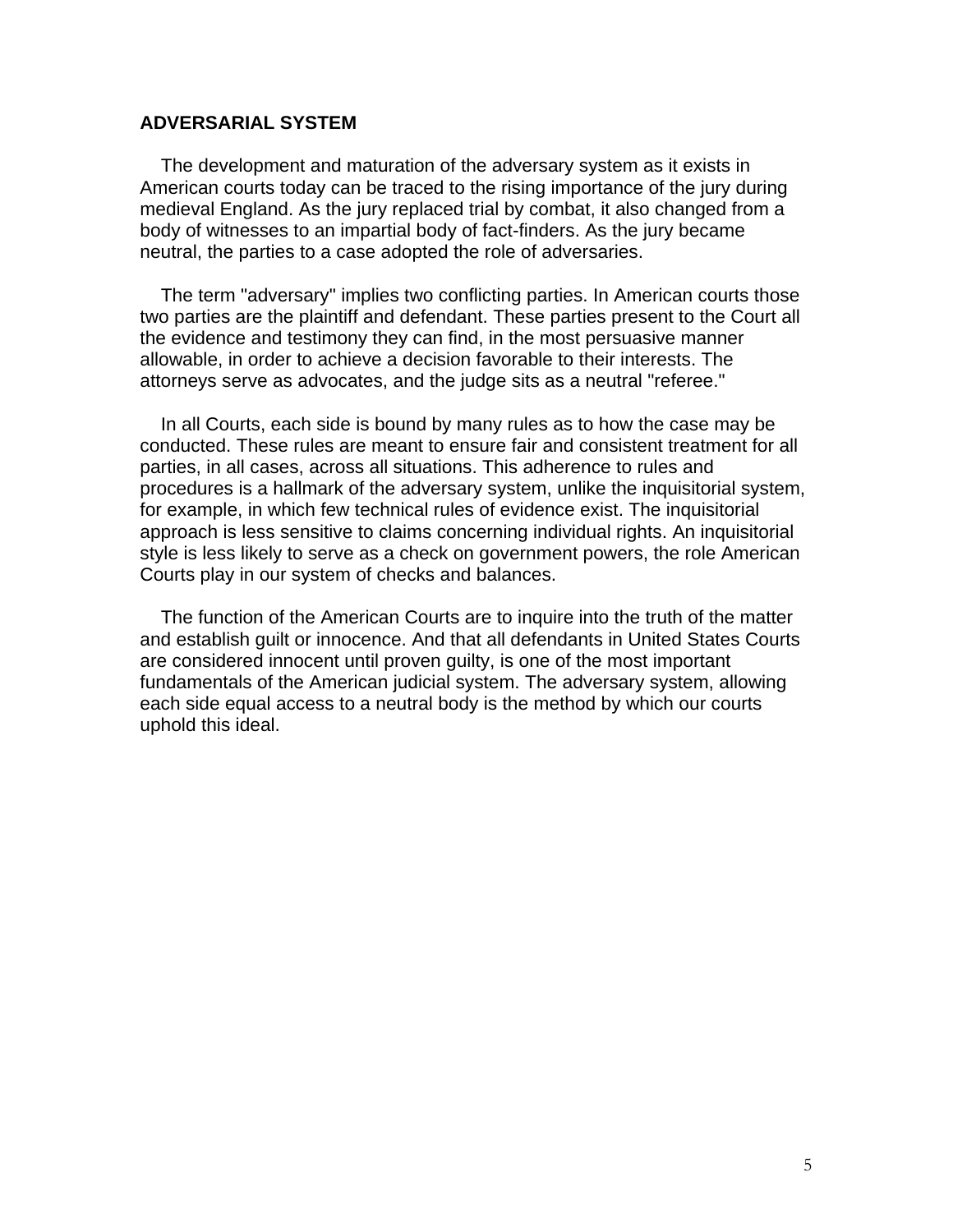#### **ADVERSARIAL SYSTEM**

 The development and maturation of the adversary system as it exists in American courts today can be traced to the rising importance of the jury during medieval England. As the jury replaced trial by combat, it also changed from a body of witnesses to an impartial body of fact-finders. As the jury became neutral, the parties to a case adopted the role of adversaries.

 The term "adversary" implies two conflicting parties. In American courts those two parties are the plaintiff and defendant. These parties present to the Court all the evidence and testimony they can find, in the most persuasive manner allowable, in order to achieve a decision favorable to their interests. The attorneys serve as advocates, and the judge sits as a neutral "referee."

 In all Courts, each side is bound by many rules as to how the case may be conducted. These rules are meant to ensure fair and consistent treatment for all parties, in all cases, across all situations. This adherence to rules and procedures is a hallmark of the adversary system, unlike the inquisitorial system, for example, in which few technical rules of evidence exist. The inquisitorial approach is less sensitive to claims concerning individual rights. An inquisitorial style is less likely to serve as a check on government powers, the role American Courts play in our system of checks and balances.

 The function of the American Courts are to inquire into the truth of the matter and establish guilt or innocence. And that all defendants in United States Courts are considered innocent until proven guilty, is one of the most important fundamentals of the American judicial system. The adversary system, allowing each side equal access to a neutral body is the method by which our courts uphold this ideal.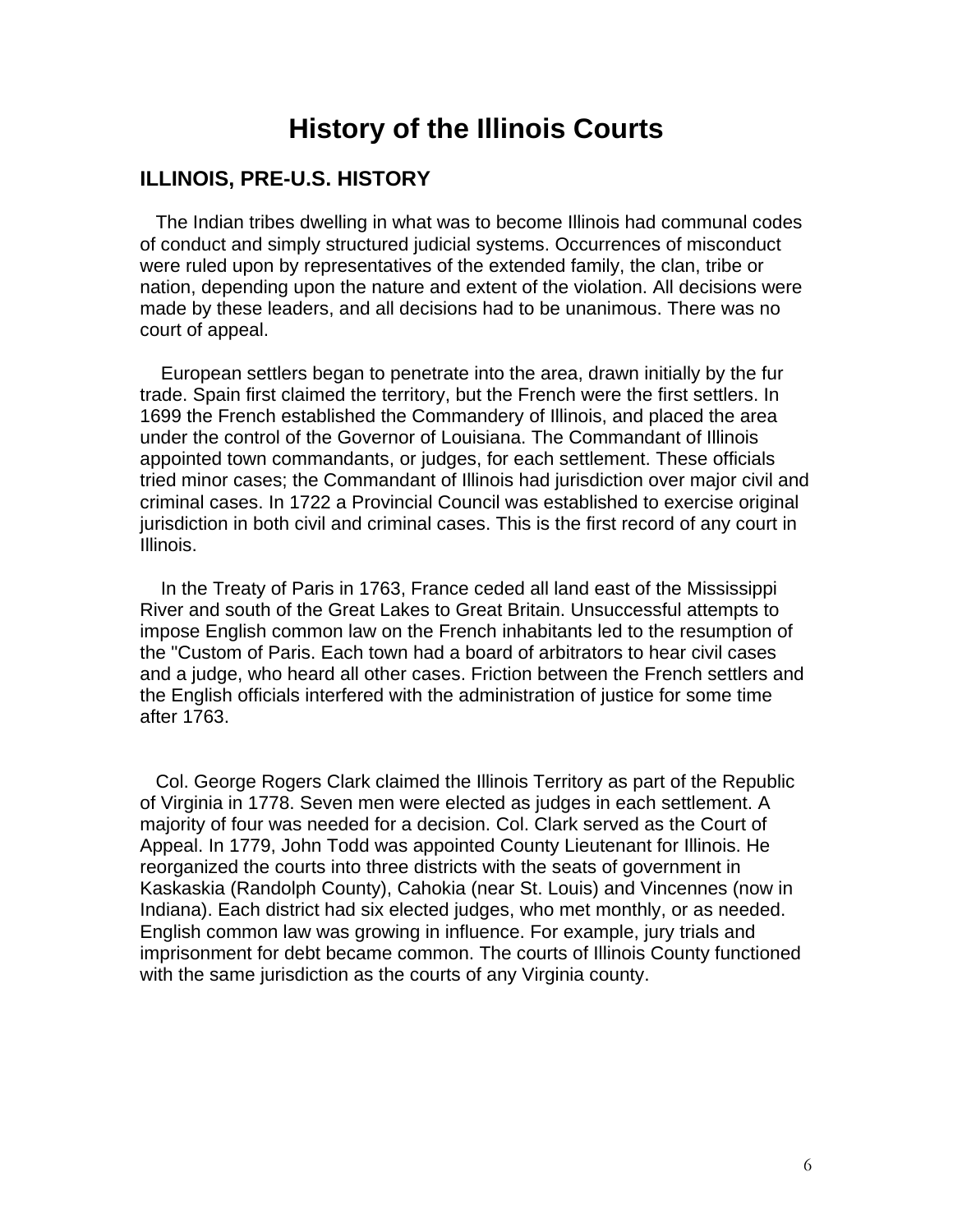## **History of the Illinois Courts**

### **ILLINOIS, PRE-U.S. HISTORY**

 The Indian tribes dwelling in what was to become Illinois had communal codes of conduct and simply structured judicial systems. Occurrences of misconduct were ruled upon by representatives of the extended family, the clan, tribe or nation, depending upon the nature and extent of the violation. All decisions were made by these leaders, and all decisions had to be unanimous. There was no court of appeal.

 European settlers began to penetrate into the area, drawn initially by the fur trade. Spain first claimed the territory, but the French were the first settlers. In 1699 the French established the Commandery of Illinois, and placed the area under the control of the Governor of Louisiana. The Commandant of Illinois appointed town commandants, or judges, for each settlement. These officials tried minor cases; the Commandant of Illinois had jurisdiction over major civil and criminal cases. In 1722 a Provincial Council was established to exercise original jurisdiction in both civil and criminal cases. This is the first record of any court in Illinois.

 In the Treaty of Paris in 1763, France ceded all land east of the Mississippi River and south of the Great Lakes to Great Britain. Unsuccessful attempts to impose English common law on the French inhabitants led to the resumption of the "Custom of Paris. Each town had a board of arbitrators to hear civil cases and a judge, who heard all other cases. Friction between the French settlers and the English officials interfered with the administration of justice for some time after 1763.

 Col. George Rogers Clark claimed the Illinois Territory as part of the Republic of Virginia in 1778. Seven men were elected as judges in each settlement. A majority of four was needed for a decision. Col. Clark served as the Court of Appeal. In 1779, John Todd was appointed County Lieutenant for Illinois. He reorganized the courts into three districts with the seats of government in Kaskaskia (Randolph County), Cahokia (near St. Louis) and Vincennes (now in Indiana). Each district had six elected judges, who met monthly, or as needed. English common law was growing in influence. For example, jury trials and imprisonment for debt became common. The courts of Illinois County functioned with the same jurisdiction as the courts of any Virginia county.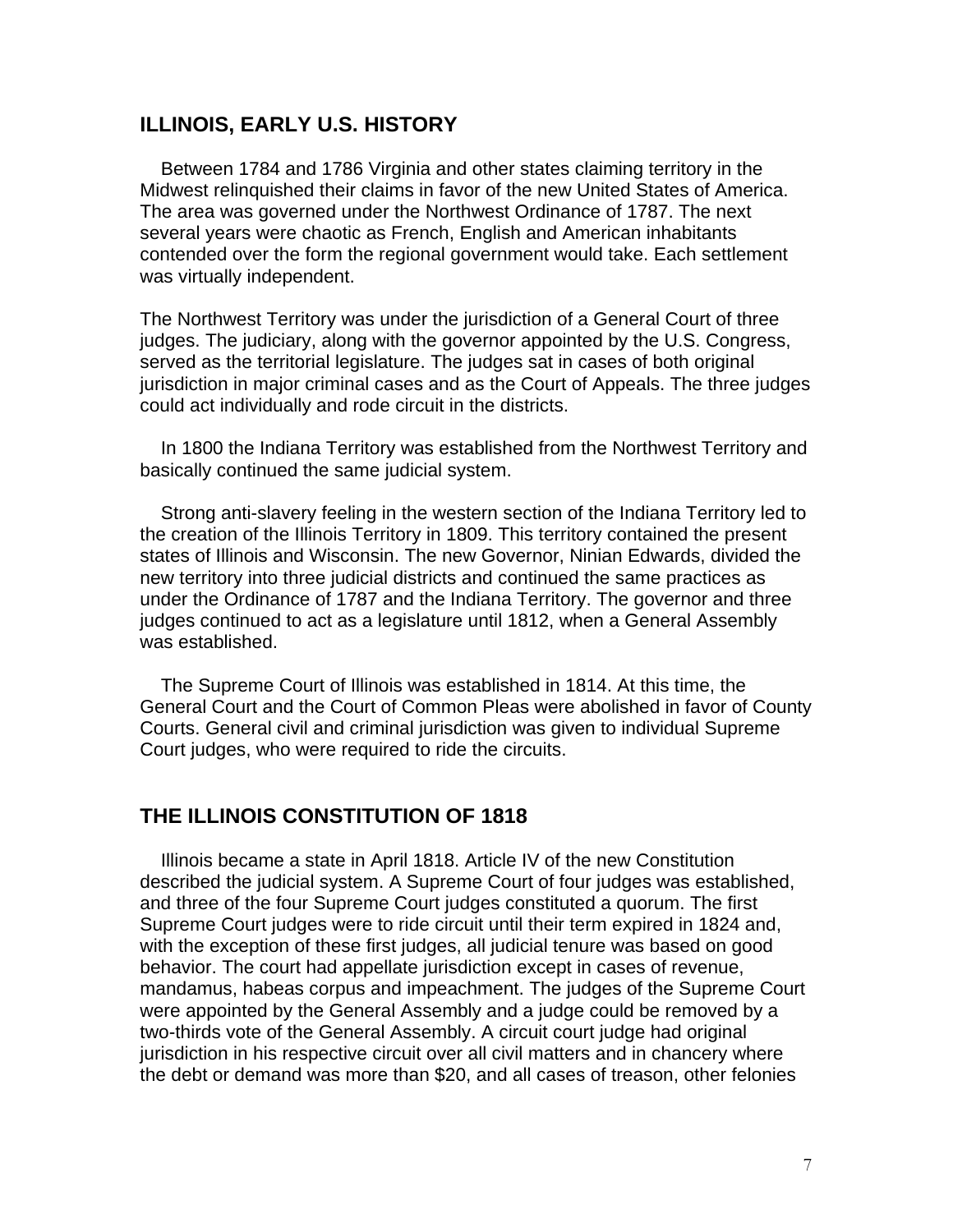#### **ILLINOIS, EARLY U.S. HISTORY**

 Between 1784 and 1786 Virginia and other states claiming territory in the Midwest relinquished their claims in favor of the new United States of America. The area was governed under the Northwest Ordinance of 1787. The next several years were chaotic as French, English and American inhabitants contended over the form the regional government would take. Each settlement was virtually independent.

The Northwest Territory was under the jurisdiction of a General Court of three judges. The judiciary, along with the governor appointed by the U.S. Congress, served as the territorial legislature. The judges sat in cases of both original jurisdiction in major criminal cases and as the Court of Appeals. The three judges could act individually and rode circuit in the districts.

 In 1800 the Indiana Territory was established from the Northwest Territory and basically continued the same judicial system.

 Strong anti-slavery feeling in the western section of the Indiana Territory led to the creation of the Illinois Territory in 1809. This territory contained the present states of Illinois and Wisconsin. The new Governor, Ninian Edwards, divided the new territory into three judicial districts and continued the same practices as under the Ordinance of 1787 and the Indiana Territory. The governor and three judges continued to act as a legislature until 1812, when a General Assembly was established.

 The Supreme Court of Illinois was established in 1814. At this time, the General Court and the Court of Common Pleas were abolished in favor of County Courts. General civil and criminal jurisdiction was given to individual Supreme Court judges, who were required to ride the circuits.

### **THE ILLINOIS CONSTITUTION OF 1818**

 Illinois became a state in April 1818. Article IV of the new Constitution described the judicial system. A Supreme Court of four judges was established, and three of the four Supreme Court judges constituted a quorum. The first Supreme Court judges were to ride circuit until their term expired in 1824 and, with the exception of these first judges, all judicial tenure was based on good behavior. The court had appellate jurisdiction except in cases of revenue, mandamus, habeas corpus and impeachment. The judges of the Supreme Court were appointed by the General Assembly and a judge could be removed by a two-thirds vote of the General Assembly. A circuit court judge had original jurisdiction in his respective circuit over all civil matters and in chancery where the debt or demand was more than \$20, and all cases of treason, other felonies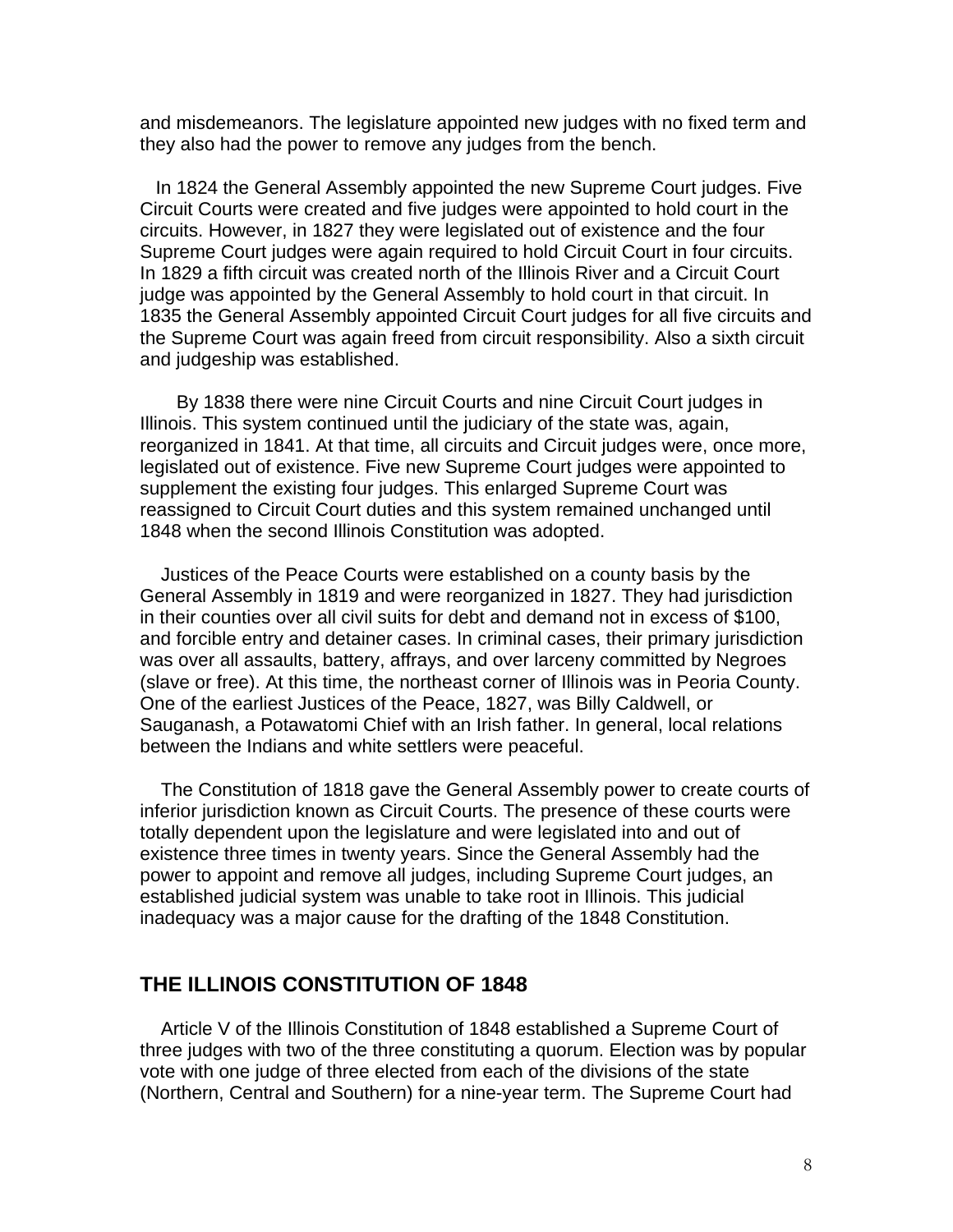and misdemeanors. The legislature appointed new judges with no fixed term and they also had the power to remove any judges from the bench.

 In 1824 the General Assembly appointed the new Supreme Court judges. Five Circuit Courts were created and five judges were appointed to hold court in the circuits. However, in 1827 they were legislated out of existence and the four Supreme Court judges were again required to hold Circuit Court in four circuits. In 1829 a fifth circuit was created north of the Illinois River and a Circuit Court judge was appointed by the General Assembly to hold court in that circuit. In 1835 the General Assembly appointed Circuit Court judges for all five circuits and the Supreme Court was again freed from circuit responsibility. Also a sixth circuit and judgeship was established.

 By 1838 there were nine Circuit Courts and nine Circuit Court judges in Illinois. This system continued until the judiciary of the state was, again, reorganized in 1841. At that time, all circuits and Circuit judges were, once more, legislated out of existence. Five new Supreme Court judges were appointed to supplement the existing four judges. This enlarged Supreme Court was reassigned to Circuit Court duties and this system remained unchanged until 1848 when the second Illinois Constitution was adopted.

 Justices of the Peace Courts were established on a county basis by the General Assembly in 1819 and were reorganized in 1827. They had jurisdiction in their counties over all civil suits for debt and demand not in excess of \$100, and forcible entry and detainer cases. In criminal cases, their primary jurisdiction was over all assaults, battery, affrays, and over larceny committed by Negroes (slave or free). At this time, the northeast corner of Illinois was in Peoria County. One of the earliest Justices of the Peace, 1827, was Billy Caldwell, or Sauganash, a Potawatomi Chief with an Irish father. In general, local relations between the Indians and white settlers were peaceful.

 The Constitution of 1818 gave the General Assembly power to create courts of inferior jurisdiction known as Circuit Courts. The presence of these courts were totally dependent upon the legislature and were legislated into and out of existence three times in twenty years. Since the General Assembly had the power to appoint and remove all judges, including Supreme Court judges, an established judicial system was unable to take root in Illinois. This judicial inadequacy was a major cause for the drafting of the 1848 Constitution.

## **THE ILLINOIS CONSTITUTION OF 1848**

 Article V of the Illinois Constitution of 1848 established a Supreme Court of three judges with two of the three constituting a quorum. Election was by popular vote with one judge of three elected from each of the divisions of the state (Northern, Central and Southern) for a nine-year term. The Supreme Court had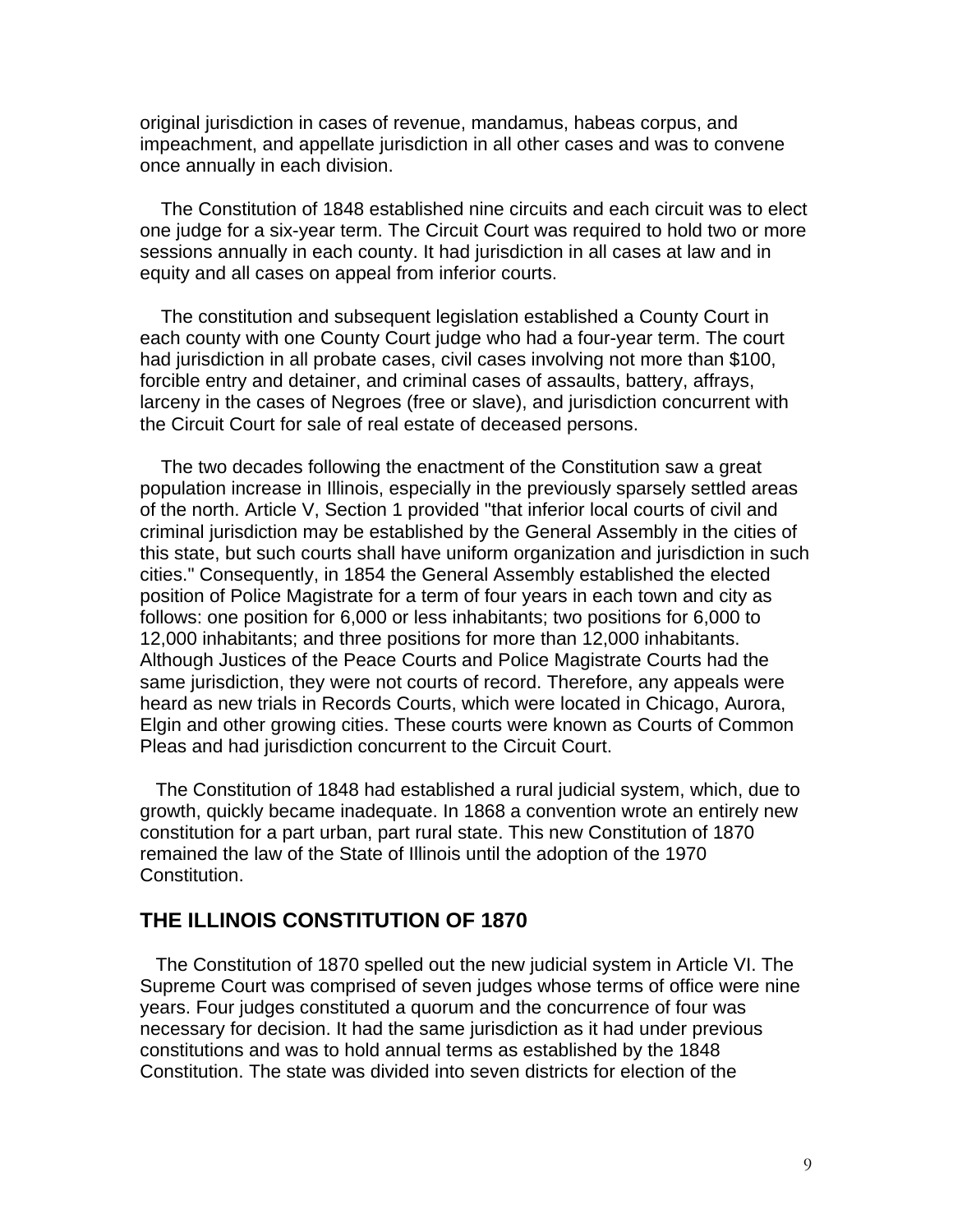original jurisdiction in cases of revenue, mandamus, habeas corpus, and impeachment, and appellate jurisdiction in all other cases and was to convene once annually in each division.

 The Constitution of 1848 established nine circuits and each circuit was to elect one judge for a six-year term. The Circuit Court was required to hold two or more sessions annually in each county. It had jurisdiction in all cases at law and in equity and all cases on appeal from inferior courts.

 The constitution and subsequent legislation established a County Court in each county with one County Court judge who had a four-year term. The court had jurisdiction in all probate cases, civil cases involving not more than \$100, forcible entry and detainer, and criminal cases of assaults, battery, affrays, larceny in the cases of Negroes (free or slave), and jurisdiction concurrent with the Circuit Court for sale of real estate of deceased persons.

 The two decades following the enactment of the Constitution saw a great population increase in Illinois, especially in the previously sparsely settled areas of the north. Article V, Section 1 provided "that inferior local courts of civil and criminal jurisdiction may be established by the General Assembly in the cities of this state, but such courts shall have uniform organization and jurisdiction in such cities." Consequently, in 1854 the General Assembly established the elected position of Police Magistrate for a term of four years in each town and city as follows: one position for 6,000 or less inhabitants; two positions for 6,000 to 12,000 inhabitants; and three positions for more than 12,000 inhabitants. Although Justices of the Peace Courts and Police Magistrate Courts had the same jurisdiction, they were not courts of record. Therefore, any appeals were heard as new trials in Records Courts, which were located in Chicago, Aurora, Elgin and other growing cities. These courts were known as Courts of Common Pleas and had jurisdiction concurrent to the Circuit Court.

 The Constitution of 1848 had established a rural judicial system, which, due to growth, quickly became inadequate. In 1868 a convention wrote an entirely new constitution for a part urban, part rural state. This new Constitution of 1870 remained the law of the State of Illinois until the adoption of the 1970 Constitution.

## **THE ILLINOIS CONSTITUTION OF 1870**

 The Constitution of 1870 spelled out the new judicial system in Article VI. The Supreme Court was comprised of seven judges whose terms of office were nine years. Four judges constituted a quorum and the concurrence of four was necessary for decision. It had the same jurisdiction as it had under previous constitutions and was to hold annual terms as established by the 1848 Constitution. The state was divided into seven districts for election of the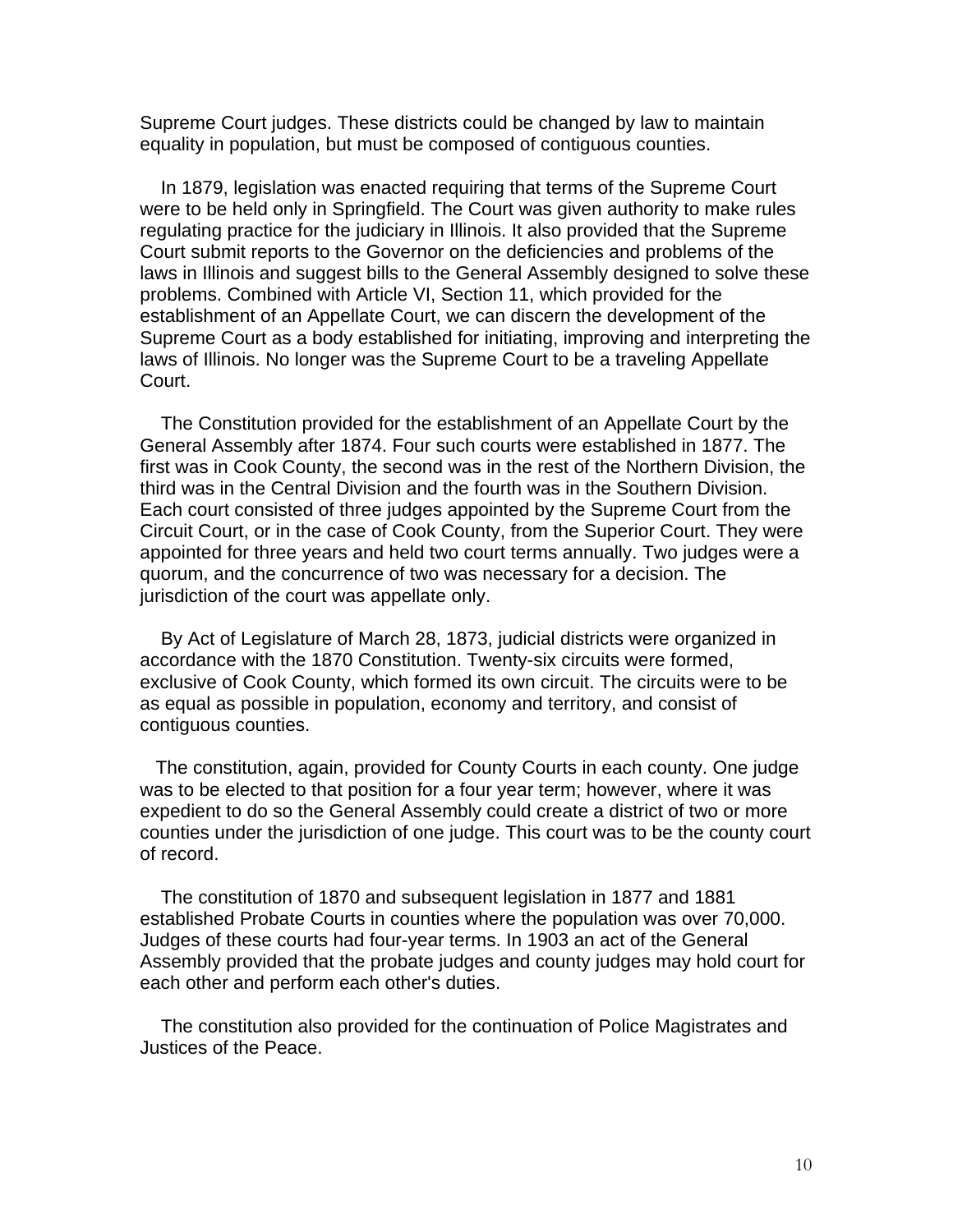Supreme Court judges. These districts could be changed by law to maintain equality in population, but must be composed of contiguous counties.

 In 1879, legislation was enacted requiring that terms of the Supreme Court were to be held only in Springfield. The Court was given authority to make rules regulating practice for the judiciary in Illinois. It also provided that the Supreme Court submit reports to the Governor on the deficiencies and problems of the laws in Illinois and suggest bills to the General Assembly designed to solve these problems. Combined with Article VI, Section 11, which provided for the establishment of an Appellate Court, we can discern the development of the Supreme Court as a body established for initiating, improving and interpreting the laws of Illinois. No longer was the Supreme Court to be a traveling Appellate Court.

 The Constitution provided for the establishment of an Appellate Court by the General Assembly after 1874. Four such courts were established in 1877. The first was in Cook County, the second was in the rest of the Northern Division, the third was in the Central Division and the fourth was in the Southern Division. Each court consisted of three judges appointed by the Supreme Court from the Circuit Court, or in the case of Cook County, from the Superior Court. They were appointed for three years and held two court terms annually. Two judges were a quorum, and the concurrence of two was necessary for a decision. The jurisdiction of the court was appellate only.

 By Act of Legislature of March 28, 1873, judicial districts were organized in accordance with the 1870 Constitution. Twenty-six circuits were formed, exclusive of Cook County, which formed its own circuit. The circuits were to be as equal as possible in population, economy and territory, and consist of contiguous counties.

 The constitution, again, provided for County Courts in each county. One judge was to be elected to that position for a four year term; however, where it was expedient to do so the General Assembly could create a district of two or more counties under the jurisdiction of one judge. This court was to be the county court of record.

 The constitution of 1870 and subsequent legislation in 1877 and 1881 established Probate Courts in counties where the population was over 70,000. Judges of these courts had four-year terms. In 1903 an act of the General Assembly provided that the probate judges and county judges may hold court for each other and perform each other's duties.

 The constitution also provided for the continuation of Police Magistrates and Justices of the Peace.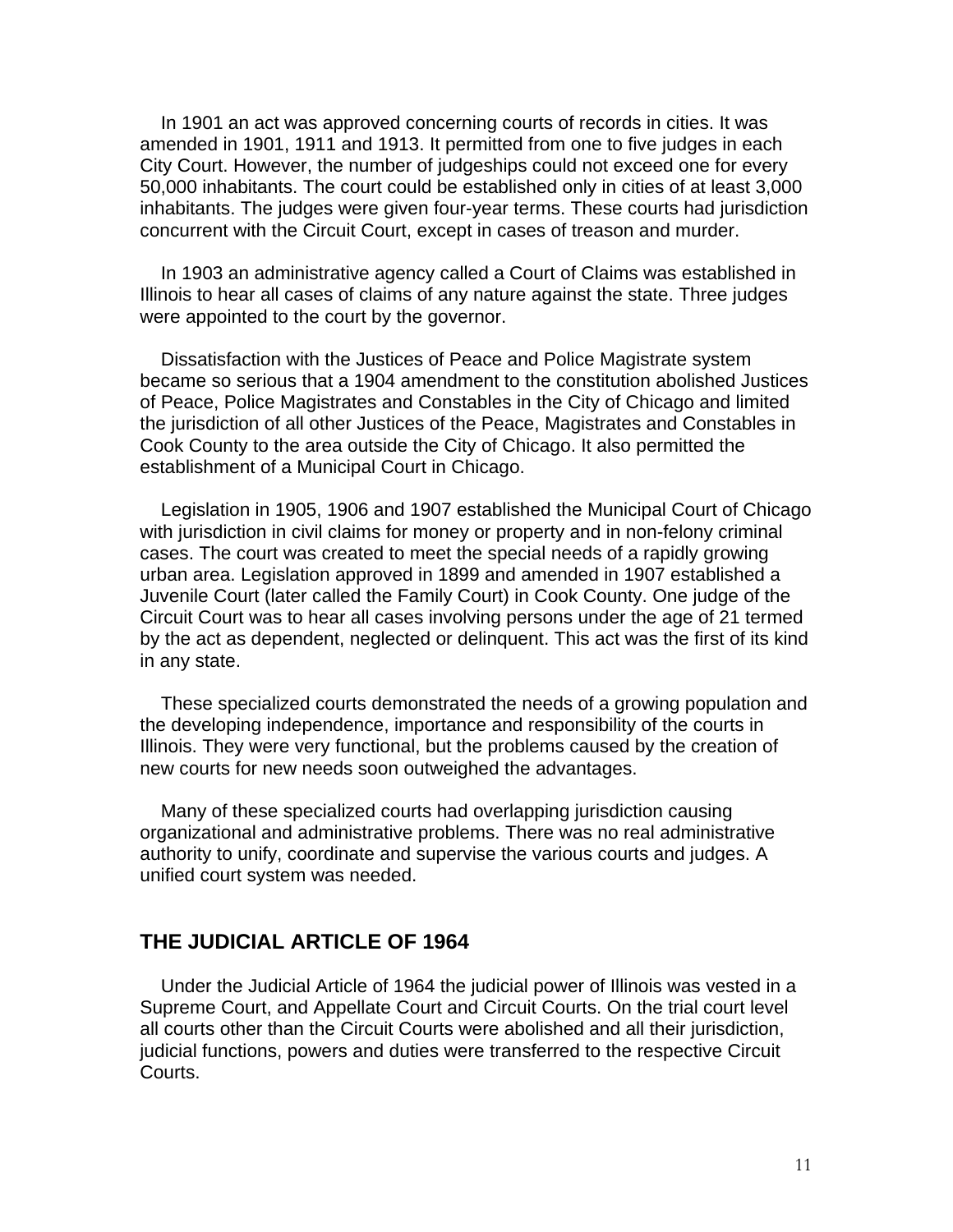In 1901 an act was approved concerning courts of records in cities. It was amended in 1901, 1911 and 1913. It permitted from one to five judges in each City Court. However, the number of judgeships could not exceed one for every 50,000 inhabitants. The court could be established only in cities of at least 3,000 inhabitants. The judges were given four-year terms. These courts had jurisdiction concurrent with the Circuit Court, except in cases of treason and murder.

 In 1903 an administrative agency called a Court of Claims was established in Illinois to hear all cases of claims of any nature against the state. Three judges were appointed to the court by the governor.

 Dissatisfaction with the Justices of Peace and Police Magistrate system became so serious that a 1904 amendment to the constitution abolished Justices of Peace, Police Magistrates and Constables in the City of Chicago and limited the jurisdiction of all other Justices of the Peace, Magistrates and Constables in Cook County to the area outside the City of Chicago. It also permitted the establishment of a Municipal Court in Chicago.

 Legislation in 1905, 1906 and 1907 established the Municipal Court of Chicago with jurisdiction in civil claims for money or property and in non-felony criminal cases. The court was created to meet the special needs of a rapidly growing urban area. Legislation approved in 1899 and amended in 1907 established a Juvenile Court (later called the Family Court) in Cook County. One judge of the Circuit Court was to hear all cases involving persons under the age of 21 termed by the act as dependent, neglected or delinquent. This act was the first of its kind in any state.

 These specialized courts demonstrated the needs of a growing population and the developing independence, importance and responsibility of the courts in Illinois. They were very functional, but the problems caused by the creation of new courts for new needs soon outweighed the advantages.

 Many of these specialized courts had overlapping jurisdiction causing organizational and administrative problems. There was no real administrative authority to unify, coordinate and supervise the various courts and judges. A unified court system was needed.

## **THE JUDICIAL ARTICLE OF 1964**

 Under the Judicial Article of 1964 the judicial power of Illinois was vested in a Supreme Court, and Appellate Court and Circuit Courts. On the trial court level all courts other than the Circuit Courts were abolished and all their jurisdiction, judicial functions, powers and duties were transferred to the respective Circuit Courts.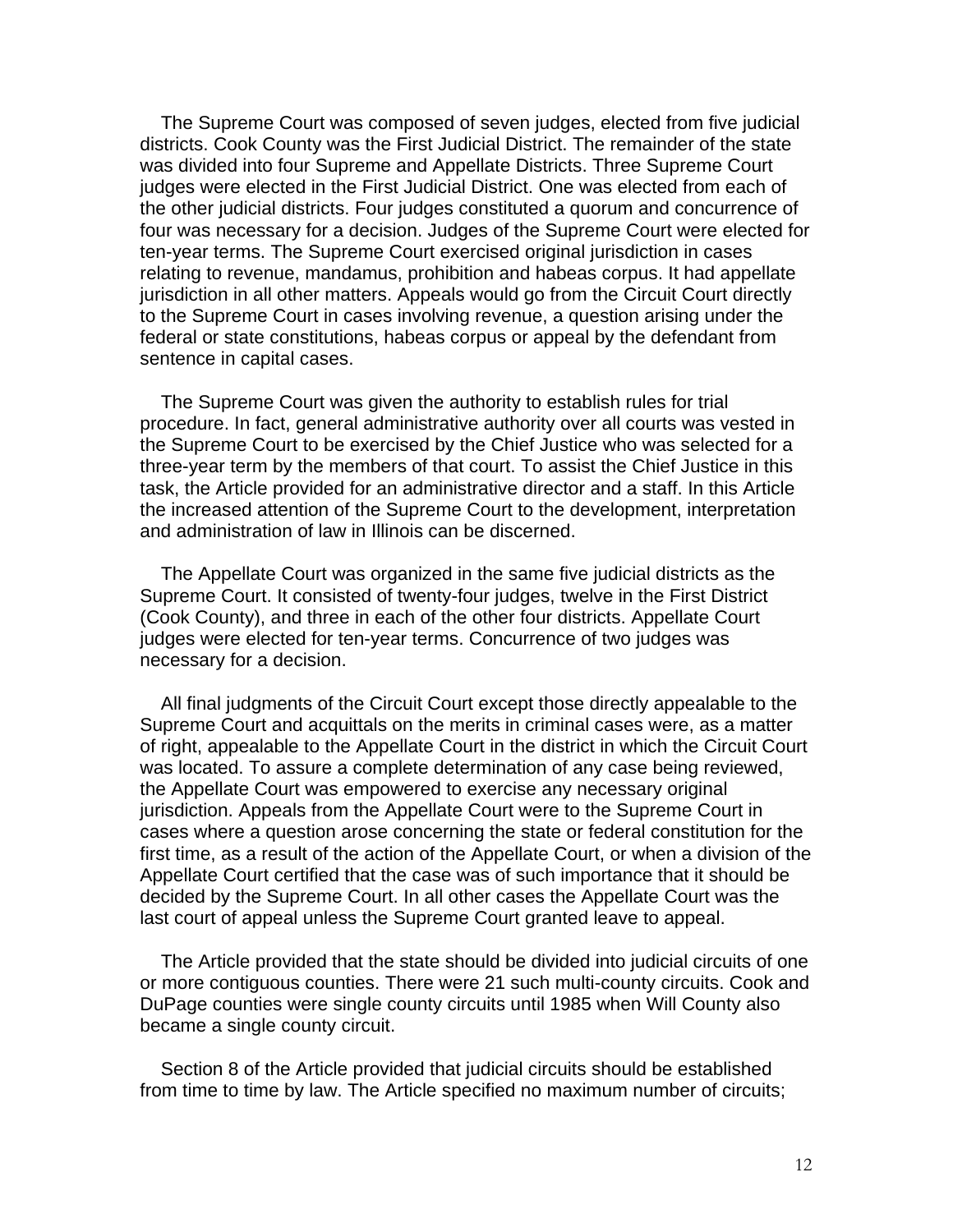The Supreme Court was composed of seven judges, elected from five judicial districts. Cook County was the First Judicial District. The remainder of the state was divided into four Supreme and Appellate Districts. Three Supreme Court judges were elected in the First Judicial District. One was elected from each of the other judicial districts. Four judges constituted a quorum and concurrence of four was necessary for a decision. Judges of the Supreme Court were elected for ten-year terms. The Supreme Court exercised original jurisdiction in cases relating to revenue, mandamus, prohibition and habeas corpus. It had appellate jurisdiction in all other matters. Appeals would go from the Circuit Court directly to the Supreme Court in cases involving revenue, a question arising under the federal or state constitutions, habeas corpus or appeal by the defendant from sentence in capital cases.

 The Supreme Court was given the authority to establish rules for trial procedure. In fact, general administrative authority over all courts was vested in the Supreme Court to be exercised by the Chief Justice who was selected for a three-year term by the members of that court. To assist the Chief Justice in this task, the Article provided for an administrative director and a staff. In this Article the increased attention of the Supreme Court to the development, interpretation and administration of law in Illinois can be discerned.

 The Appellate Court was organized in the same five judicial districts as the Supreme Court. It consisted of twenty-four judges, twelve in the First District (Cook County), and three in each of the other four districts. Appellate Court judges were elected for ten-year terms. Concurrence of two judges was necessary for a decision.

 All final judgments of the Circuit Court except those directly appealable to the Supreme Court and acquittals on the merits in criminal cases were, as a matter of right, appealable to the Appellate Court in the district in which the Circuit Court was located. To assure a complete determination of any case being reviewed, the Appellate Court was empowered to exercise any necessary original jurisdiction. Appeals from the Appellate Court were to the Supreme Court in cases where a question arose concerning the state or federal constitution for the first time, as a result of the action of the Appellate Court, or when a division of the Appellate Court certified that the case was of such importance that it should be decided by the Supreme Court. In all other cases the Appellate Court was the last court of appeal unless the Supreme Court granted leave to appeal.

 The Article provided that the state should be divided into judicial circuits of one or more contiguous counties. There were 21 such multi-county circuits. Cook and DuPage counties were single county circuits until 1985 when Will County also became a single county circuit.

 Section 8 of the Article provided that judicial circuits should be established from time to time by law. The Article specified no maximum number of circuits;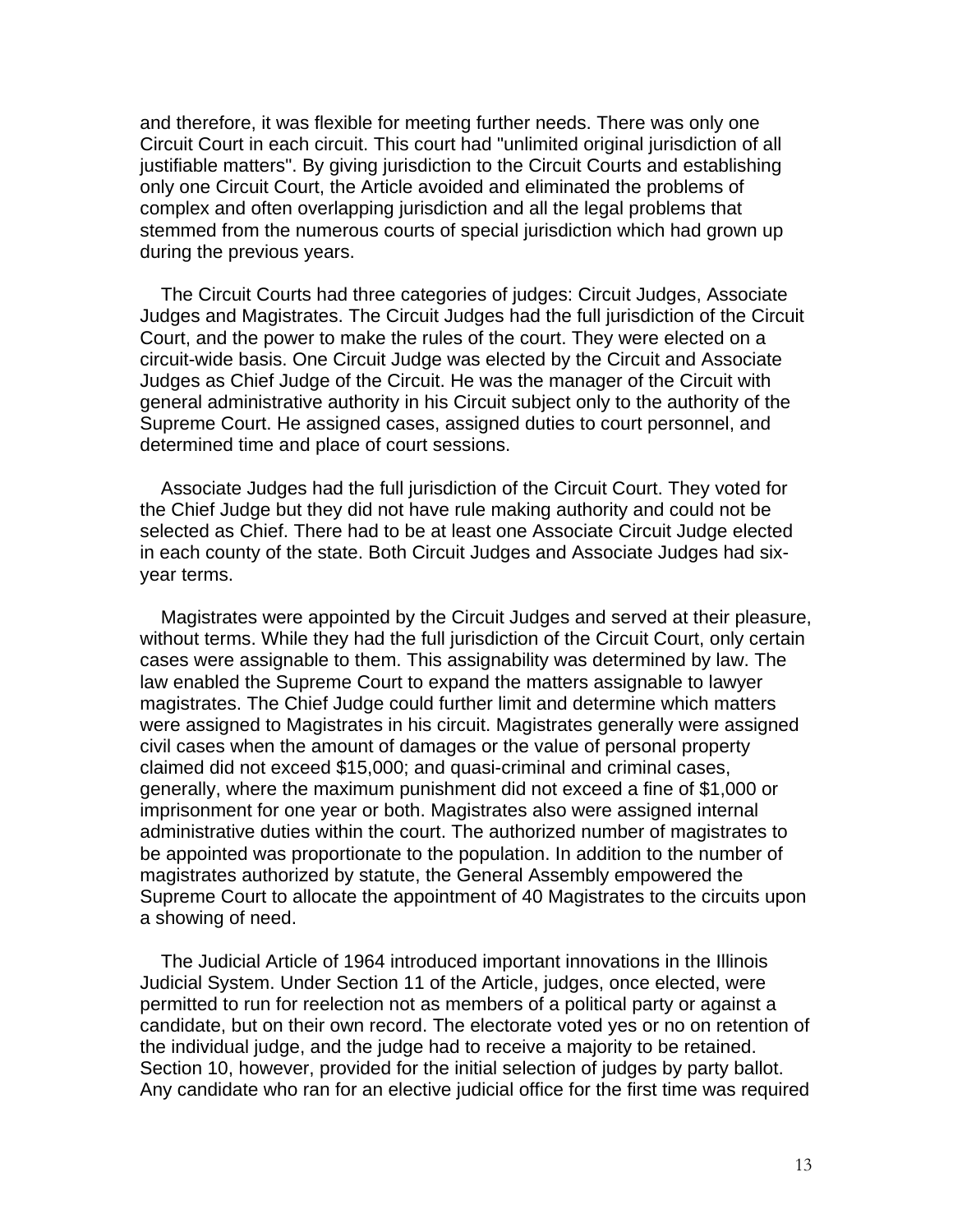and therefore, it was flexible for meeting further needs. There was only one Circuit Court in each circuit. This court had "unlimited original jurisdiction of all justifiable matters". By giving jurisdiction to the Circuit Courts and establishing only one Circuit Court, the Article avoided and eliminated the problems of complex and often overlapping jurisdiction and all the legal problems that stemmed from the numerous courts of special jurisdiction which had grown up during the previous years.

 The Circuit Courts had three categories of judges: Circuit Judges, Associate Judges and Magistrates. The Circuit Judges had the full jurisdiction of the Circuit Court, and the power to make the rules of the court. They were elected on a circuit-wide basis. One Circuit Judge was elected by the Circuit and Associate Judges as Chief Judge of the Circuit. He was the manager of the Circuit with general administrative authority in his Circuit subject only to the authority of the Supreme Court. He assigned cases, assigned duties to court personnel, and determined time and place of court sessions.

 Associate Judges had the full jurisdiction of the Circuit Court. They voted for the Chief Judge but they did not have rule making authority and could not be selected as Chief. There had to be at least one Associate Circuit Judge elected in each county of the state. Both Circuit Judges and Associate Judges had sixyear terms.

 Magistrates were appointed by the Circuit Judges and served at their pleasure, without terms. While they had the full jurisdiction of the Circuit Court, only certain cases were assignable to them. This assignability was determined by law. The law enabled the Supreme Court to expand the matters assignable to lawyer magistrates. The Chief Judge could further limit and determine which matters were assigned to Magistrates in his circuit. Magistrates generally were assigned civil cases when the amount of damages or the value of personal property claimed did not exceed \$15,000; and quasi-criminal and criminal cases, generally, where the maximum punishment did not exceed a fine of \$1,000 or imprisonment for one year or both. Magistrates also were assigned internal administrative duties within the court. The authorized number of magistrates to be appointed was proportionate to the population. In addition to the number of magistrates authorized by statute, the General Assembly empowered the Supreme Court to allocate the appointment of 40 Magistrates to the circuits upon a showing of need.

 The Judicial Article of 1964 introduced important innovations in the Illinois Judicial System. Under Section 11 of the Article, judges, once elected, were permitted to run for reelection not as members of a political party or against a candidate, but on their own record. The electorate voted yes or no on retention of the individual judge, and the judge had to receive a majority to be retained. Section 10, however, provided for the initial selection of judges by party ballot. Any candidate who ran for an elective judicial office for the first time was required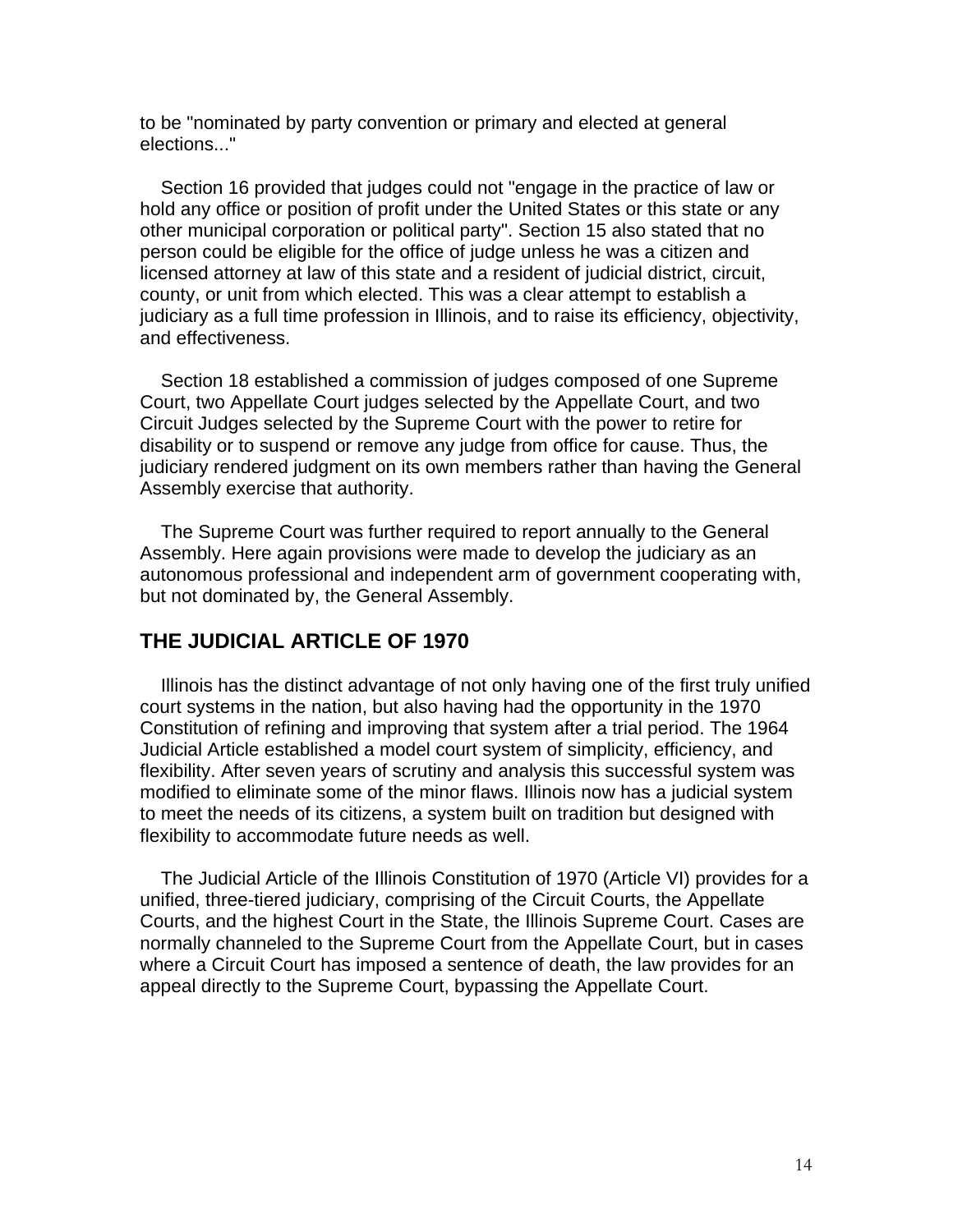to be "nominated by party convention or primary and elected at general elections..."

 Section 16 provided that judges could not "engage in the practice of law or hold any office or position of profit under the United States or this state or any other municipal corporation or political party". Section 15 also stated that no person could be eligible for the office of judge unless he was a citizen and licensed attorney at law of this state and a resident of judicial district, circuit, county, or unit from which elected. This was a clear attempt to establish a judiciary as a full time profession in Illinois, and to raise its efficiency, objectivity, and effectiveness.

 Section 18 established a commission of judges composed of one Supreme Court, two Appellate Court judges selected by the Appellate Court, and two Circuit Judges selected by the Supreme Court with the power to retire for disability or to suspend or remove any judge from office for cause. Thus, the judiciary rendered judgment on its own members rather than having the General Assembly exercise that authority.

 The Supreme Court was further required to report annually to the General Assembly. Here again provisions were made to develop the judiciary as an autonomous professional and independent arm of government cooperating with, but not dominated by, the General Assembly.

### **THE JUDICIAL ARTICLE OF 1970**

 Illinois has the distinct advantage of not only having one of the first truly unified court systems in the nation, but also having had the opportunity in the 1970 Constitution of refining and improving that system after a trial period. The 1964 Judicial Article established a model court system of simplicity, efficiency, and flexibility. After seven years of scrutiny and analysis this successful system was modified to eliminate some of the minor flaws. Illinois now has a judicial system to meet the needs of its citizens, a system built on tradition but designed with flexibility to accommodate future needs as well.

 The Judicial Article of the Illinois Constitution of 1970 (Article VI) provides for a unified, three-tiered judiciary, comprising of the Circuit Courts, the Appellate Courts, and the highest Court in the State, the Illinois Supreme Court. Cases are normally channeled to the Supreme Court from the Appellate Court, but in cases where a Circuit Court has imposed a sentence of death, the law provides for an appeal directly to the Supreme Court, bypassing the Appellate Court.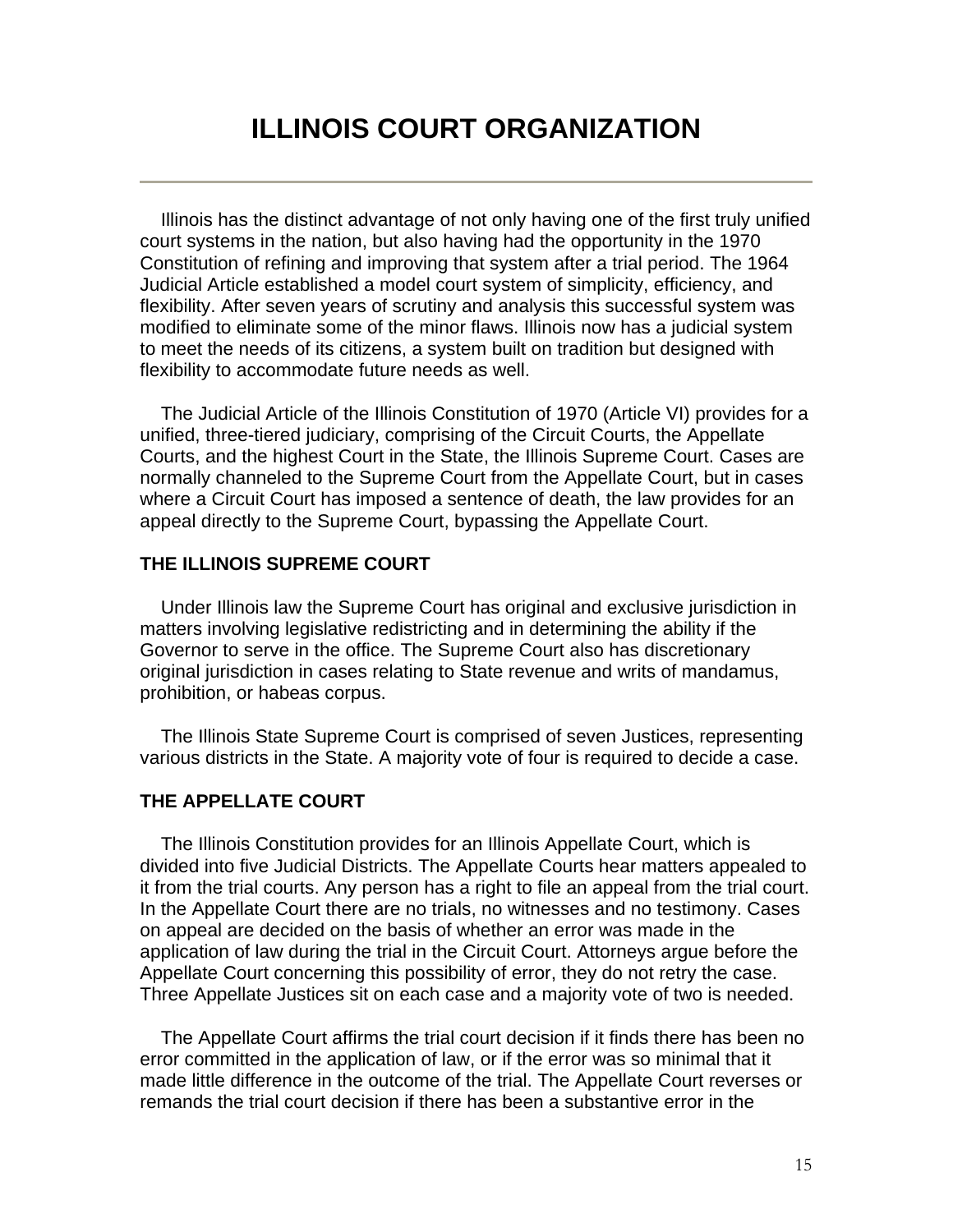## **ILLINOIS COURT ORGANIZATION**

 Illinois has the distinct advantage of not only having one of the first truly unified court systems in the nation, but also having had the opportunity in the 1970 Constitution of refining and improving that system after a trial period. The 1964 Judicial Article established a model court system of simplicity, efficiency, and flexibility. After seven years of scrutiny and analysis this successful system was modified to eliminate some of the minor flaws. Illinois now has a judicial system to meet the needs of its citizens, a system built on tradition but designed with flexibility to accommodate future needs as well.

 The Judicial Article of the Illinois Constitution of 1970 (Article VI) provides for a unified, three-tiered judiciary, comprising of the Circuit Courts, the Appellate Courts, and the highest Court in the State, the Illinois Supreme Court. Cases are normally channeled to the Supreme Court from the Appellate Court, but in cases where a Circuit Court has imposed a sentence of death, the law provides for an appeal directly to the Supreme Court, bypassing the Appellate Court.

#### **THE ILLINOIS SUPREME COURT**

 Under Illinois law the Supreme Court has original and exclusive jurisdiction in matters involving legislative redistricting and in determining the ability if the Governor to serve in the office. The Supreme Court also has discretionary original jurisdiction in cases relating to State revenue and writs of mandamus, prohibition, or habeas corpus.

 The Illinois State Supreme Court is comprised of seven Justices, representing various districts in the State. A majority vote of four is required to decide a case.

#### **THE APPELLATE COURT**

 The Illinois Constitution provides for an Illinois Appellate Court, which is divided into five Judicial Districts. The Appellate Courts hear matters appealed to it from the trial courts. Any person has a right to file an appeal from the trial court. In the Appellate Court there are no trials, no witnesses and no testimony. Cases on appeal are decided on the basis of whether an error was made in the application of law during the trial in the Circuit Court. Attorneys argue before the Appellate Court concerning this possibility of error, they do not retry the case. Three Appellate Justices sit on each case and a majority vote of two is needed.

 The Appellate Court affirms the trial court decision if it finds there has been no error committed in the application of law, or if the error was so minimal that it made little difference in the outcome of the trial. The Appellate Court reverses or remands the trial court decision if there has been a substantive error in the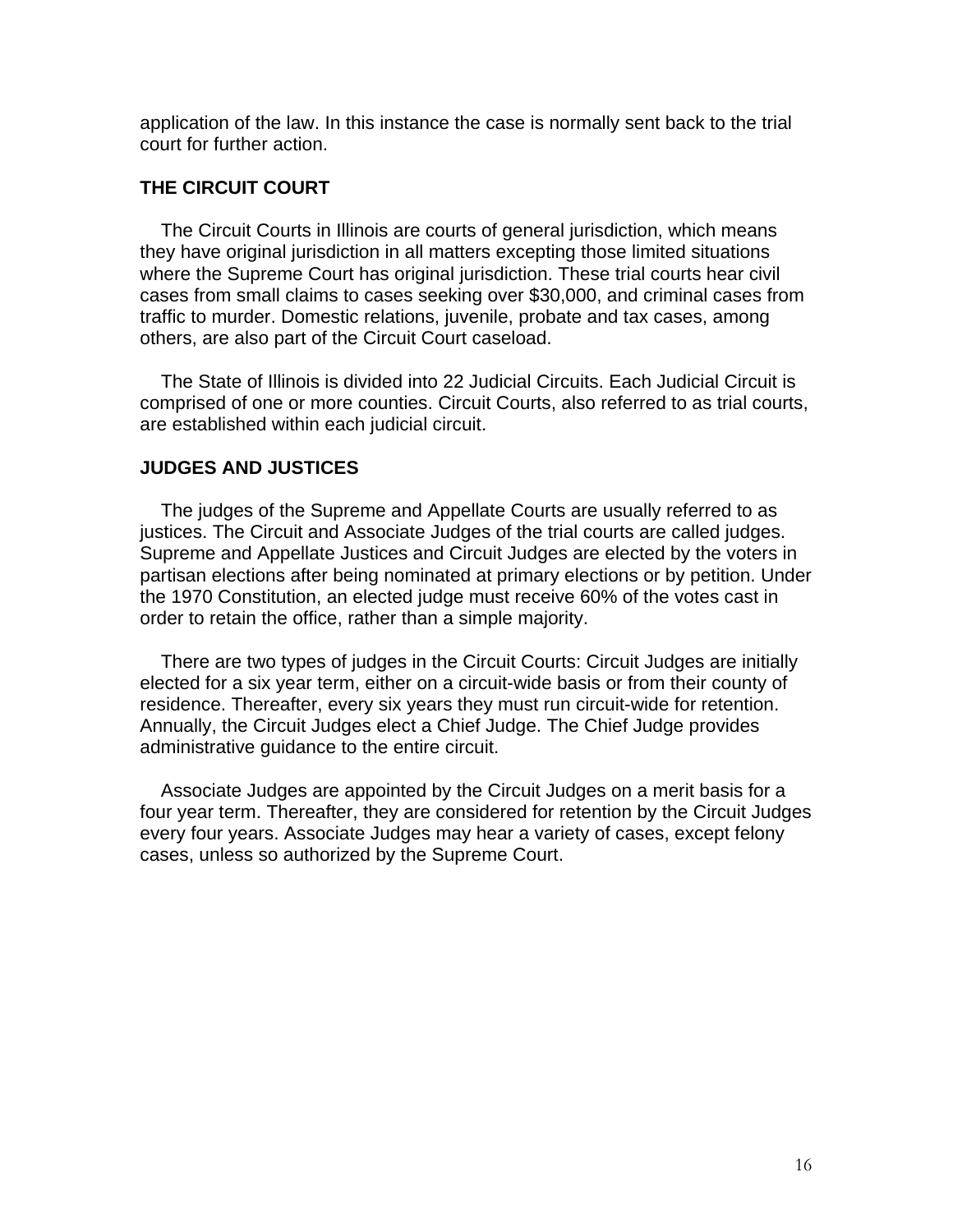application of the law. In this instance the case is normally sent back to the trial court for further action.

#### **THE CIRCUIT COURT**

 The Circuit Courts in Illinois are courts of general jurisdiction, which means they have original jurisdiction in all matters excepting those limited situations where the Supreme Court has original jurisdiction. These trial courts hear civil cases from small claims to cases seeking over \$30,000, and criminal cases from traffic to murder. Domestic relations, juvenile, probate and tax cases, among others, are also part of the Circuit Court caseload.

 The State of Illinois is divided into 22 Judicial Circuits. Each Judicial Circuit is comprised of one or more counties. Circuit Courts, also referred to as trial courts, are established within each judicial circuit.

#### **JUDGES AND JUSTICES**

 The judges of the Supreme and Appellate Courts are usually referred to as justices. The Circuit and Associate Judges of the trial courts are called judges. Supreme and Appellate Justices and Circuit Judges are elected by the voters in partisan elections after being nominated at primary elections or by petition. Under the 1970 Constitution, an elected judge must receive 60% of the votes cast in order to retain the office, rather than a simple majority.

 There are two types of judges in the Circuit Courts: Circuit Judges are initially elected for a six year term, either on a circuit-wide basis or from their county of residence. Thereafter, every six years they must run circuit-wide for retention. Annually, the Circuit Judges elect a Chief Judge. The Chief Judge provides administrative guidance to the entire circuit.

 Associate Judges are appointed by the Circuit Judges on a merit basis for a four year term. Thereafter, they are considered for retention by the Circuit Judges every four years. Associate Judges may hear a variety of cases, except felony cases, unless so authorized by the Supreme Court.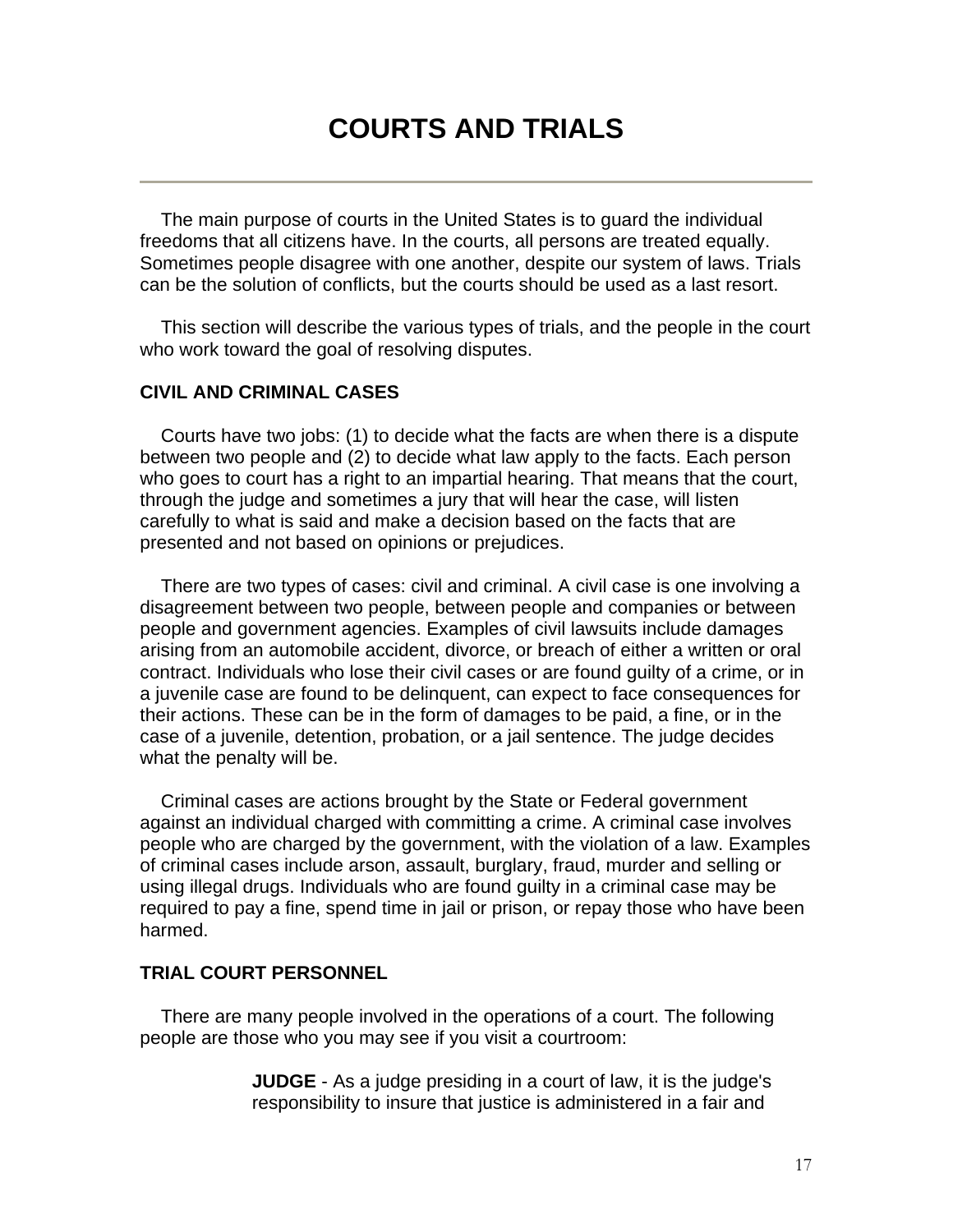# **COURTS AND TRIALS**

 The main purpose of courts in the United States is to guard the individual freedoms that all citizens have. In the courts, all persons are treated equally. Sometimes people disagree with one another, despite our system of laws. Trials can be the solution of conflicts, but the courts should be used as a last resort.

 This section will describe the various types of trials, and the people in the court who work toward the goal of resolving disputes.

#### **CIVIL AND CRIMINAL CASES**

 Courts have two jobs: (1) to decide what the facts are when there is a dispute between two people and (2) to decide what law apply to the facts. Each person who goes to court has a right to an impartial hearing. That means that the court, through the judge and sometimes a jury that will hear the case, will listen carefully to what is said and make a decision based on the facts that are presented and not based on opinions or prejudices.

 There are two types of cases: civil and criminal. A civil case is one involving a disagreement between two people, between people and companies or between people and government agencies. Examples of civil lawsuits include damages arising from an automobile accident, divorce, or breach of either a written or oral contract. Individuals who lose their civil cases or are found guilty of a crime, or in a juvenile case are found to be delinquent, can expect to face consequences for their actions. These can be in the form of damages to be paid, a fine, or in the case of a juvenile, detention, probation, or a jail sentence. The judge decides what the penalty will be.

 Criminal cases are actions brought by the State or Federal government against an individual charged with committing a crime. A criminal case involves people who are charged by the government, with the violation of a law. Examples of criminal cases include arson, assault, burglary, fraud, murder and selling or using illegal drugs. Individuals who are found guilty in a criminal case may be required to pay a fine, spend time in jail or prison, or repay those who have been harmed.

#### **TRIAL COURT PERSONNEL**

 There are many people involved in the operations of a court. The following people are those who you may see if you visit a courtroom:

> **JUDGE** - As a judge presiding in a court of law, it is the judge's responsibility to insure that justice is administered in a fair and